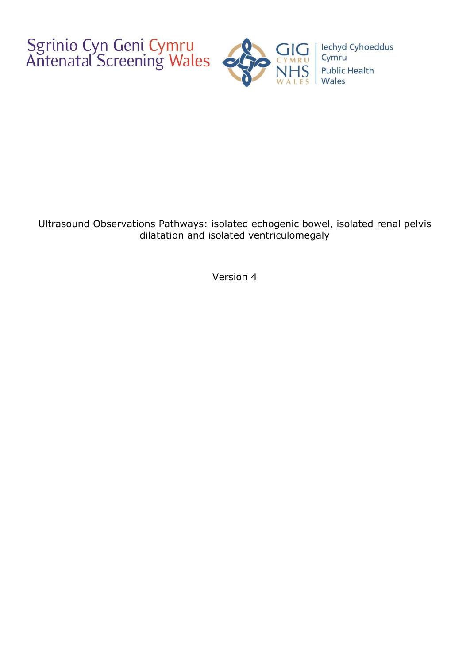Sgrinio Cyn Geni Cymru<br>Antenatal Screening Wales



Ultrasound Observations Pathways: isolated echogenic bowel, isolated renal pelvis dilatation and isolated ventriculomegaly

Version 4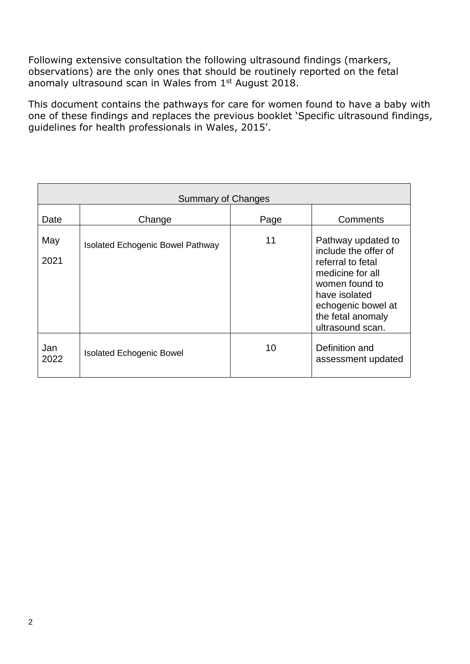Following extensive consultation the following ultrasound findings (markers, observations) are the only ones that should be routinely reported on the fetal anomaly ultrasound scan in Wales from 1<sup>st</sup> August 2018.

This document contains the pathways for care for women found to have a baby with one of these findings and replaces the previous booklet 'Specific ultrasound findings, guidelines for health professionals in Wales, 2015'.

| <b>Summary of Changes</b> |                                         |      |                                                                                                                                                                                       |
|---------------------------|-----------------------------------------|------|---------------------------------------------------------------------------------------------------------------------------------------------------------------------------------------|
| Date                      | Change                                  | Page | Comments                                                                                                                                                                              |
| May<br>2021               | <b>Isolated Echogenic Bowel Pathway</b> | 11   | Pathway updated to<br>include the offer of<br>referral to fetal<br>medicine for all<br>women found to<br>have isolated<br>echogenic bowel at<br>the fetal anomaly<br>ultrasound scan. |
| Jan<br>2022               | <b>Isolated Echogenic Bowel</b>         | 10   | Definition and<br>assessment updated                                                                                                                                                  |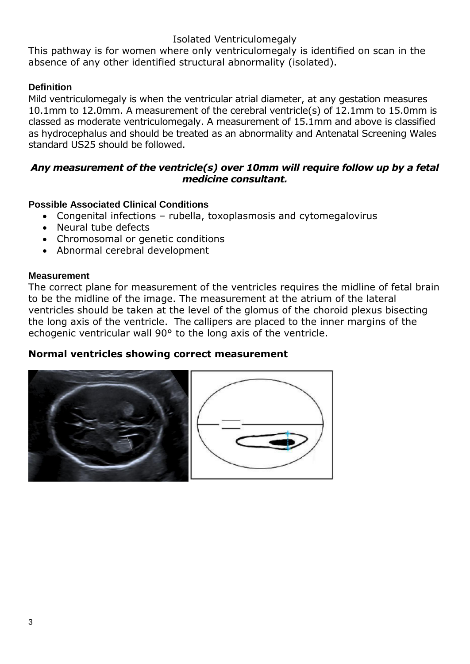## Isolated Ventriculomegaly

This pathway is for women where only ventriculomegaly is identified on scan in the absence of any other identified structural abnormality (isolated).

## **Definition**

Mild ventriculomegaly is when the ventricular atrial diameter, at any gestation measures 10.1mm to 12.0mm. A measurement of the cerebral ventricle(s) of 12.1mm to 15.0mm is classed as moderate ventriculomegaly. A measurement of 15.1mm and above is classified as hydrocephalus and should be treated as an abnormality and Antenatal Screening Wales standard US25 should be followed.

## *Any measurement of the ventricle(s) over 10mm will require follow up by a fetal medicine consultant.*

## **Possible Associated Clinical Conditions**

- Congenital infections rubella, toxoplasmosis and cytomegalovirus
- Neural tube defects
- Chromosomal or genetic conditions
- Abnormal cerebral development

### **Measurement**

The correct plane for measurement of the ventricles requires the midline of fetal brain to be the midline of the image. The measurement at the atrium of the lateral ventricles should be taken at the level of the glomus of the choroid plexus bisecting the long axis of the ventricle. The callipers are placed to the inner margins of the echogenic ventricular wall 90° to the long axis of the ventricle.

## **Normal ventricles showing correct measurement**

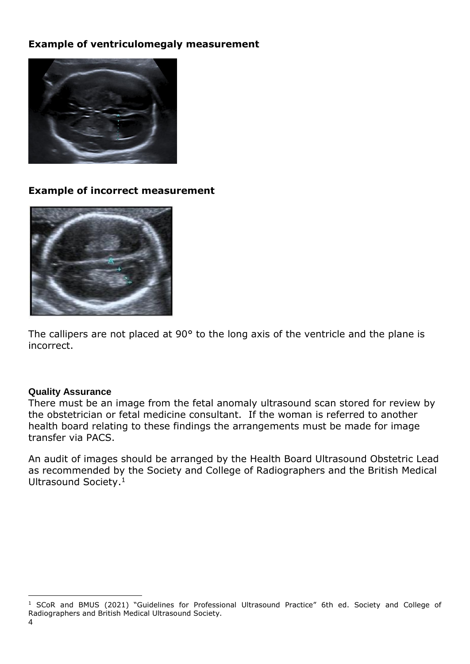## **Example of ventriculomegaly measurement**



## **Example of incorrect measurement**



The callipers are not placed at 90° to the long axis of the ventricle and the plane is incorrect.

### **Quality Assurance**

There must be an image from the fetal anomaly ultrasound scan stored for review by the obstetrician or fetal medicine consultant. If the woman is referred to another health board relating to these findings the arrangements must be made for image transfer via PACS.

An audit of images should be arranged by the Health Board Ultrasound Obstetric Lead as recommended by the Society and College of Radiographers and the British Medical Ultrasound Society. 1

<sup>&</sup>lt;sup>1</sup> SCoR and BMUS (2021) "Guidelines for Professional Ultrasound Practice" 6th ed. Society and College of Radiographers and British Medical Ultrasound Society.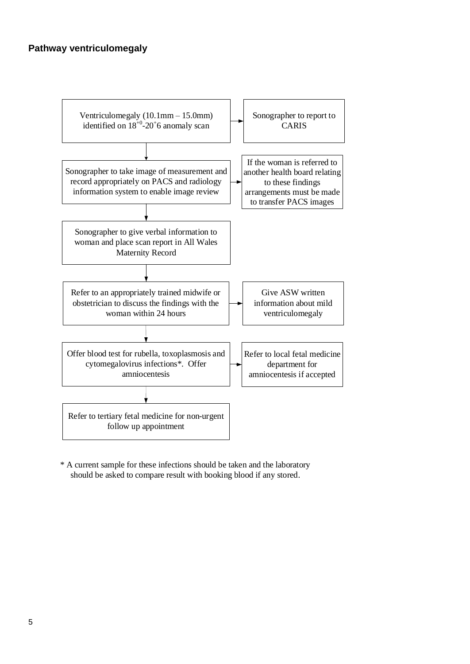#### **Pathway ventriculomegaly**



\* A current sample for these infections should be taken and the laboratory should be asked to compare result with booking blood if any stored.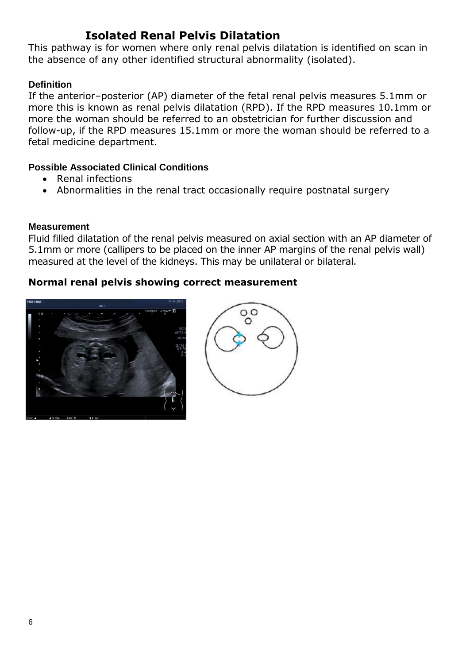## **Isolated Renal Pelvis Dilatation**

This pathway is for women where only renal pelvis dilatation is identified on scan in the absence of any other identified structural abnormality (isolated).

## **Definition**

If the anterior–posterior (AP) diameter of the fetal renal pelvis measures 5.1mm or more this is known as renal pelvis dilatation (RPD). If the RPD measures 10.1mm or more the woman should be referred to an obstetrician for further discussion and follow-up, if the RPD measures 15.1mm or more the woman should be referred to a fetal medicine department.

### **Possible Associated Clinical Conditions**

- Renal infections
- Abnormalities in the renal tract occasionally require postnatal surgery

#### **Measurement**

Fluid filled dilatation of the renal pelvis measured on axial section with an AP diameter of 5.1mm or more (callipers to be placed on the inner AP margins of the renal pelvis wall) measured at the level of the kidneys. This may be unilateral or bilateral.

## **Normal renal pelvis showing correct measurement**



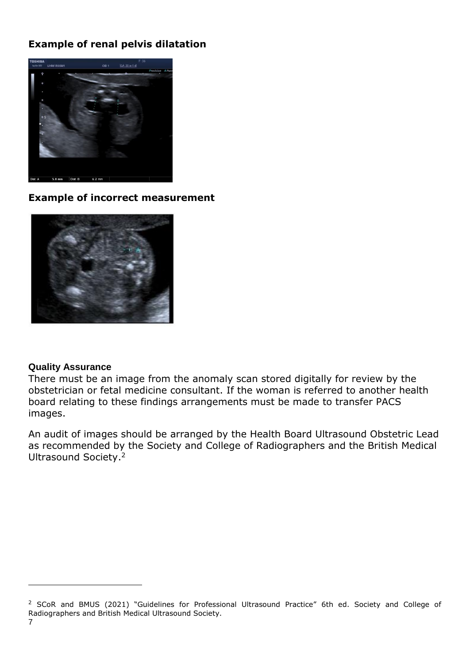## **Example of renal pelvis dilatation**



#### **Example of incorrect measurement**



#### **Quality Assurance**

There must be an image from the anomaly scan stored digitally for review by the obstetrician or fetal medicine consultant. If the woman is referred to another health board relating to these findings arrangements must be made to transfer PACS images.

An audit of images should be arranged by the Health Board Ultrasound Obstetric Lead as recommended by the Society and College of Radiographers and the British Medical Ultrasound Society. 2

<sup>&</sup>lt;sup>2</sup> SCoR and BMUS (2021) "Guidelines for Professional Ultrasound Practice" 6th ed. Society and College of Radiographers and British Medical Ultrasound Society.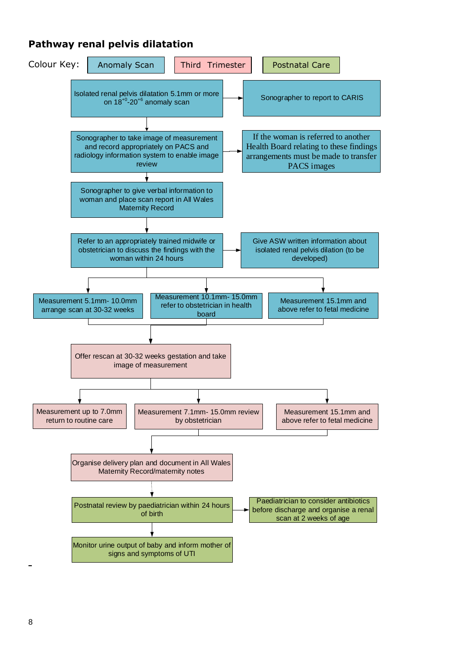## **Pathway renal pelvis dilatation**



8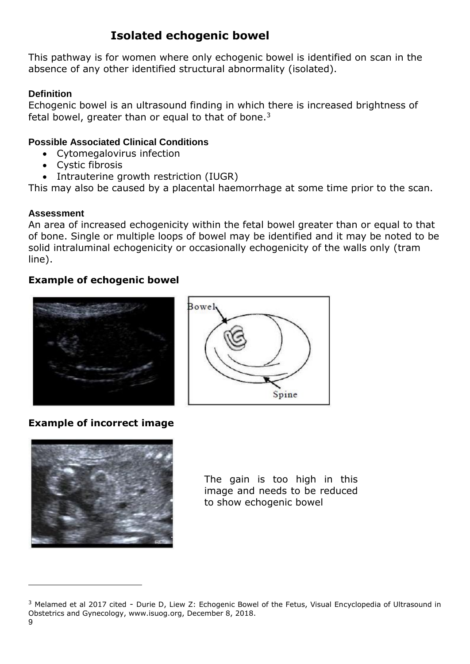# **Isolated echogenic bowel**

This pathway is for women where only echogenic bowel is identified on scan in the absence of any other identified structural abnormality (isolated).

## **Definition**

Echogenic bowel is an ultrasound finding in which there is increased brightness of fetal bowel, greater than or equal to that of bone.<sup>3</sup>

## **Possible Associated Clinical Conditions**

- Cytomegalovirus infection
- Cystic fibrosis
- Intrauterine growth restriction (IUGR)

This may also be caused by a placental haemorrhage at some time prior to the scan.

### **Assessment**

An area of increased echogenicity within the fetal bowel greater than or equal to that of bone. Single or multiple loops of bowel may be identified and it may be noted to be solid intraluminal echogenicity or occasionally echogenicity of the walls only (tram line).

## **Example of echogenic bowel**



# Bowel, Spine

## **Example of incorrect image**



The gain is too high in this image and needs to be reduced to show echogenic bowel

<sup>&</sup>lt;sup>3</sup> Melamed et al 2017 cited - Durie D, Liew Z: Echogenic Bowel of the Fetus, Visual Encyclopedia of Ultrasound in Obstetrics and Gynecology, www.isuog.org, December 8, 2018.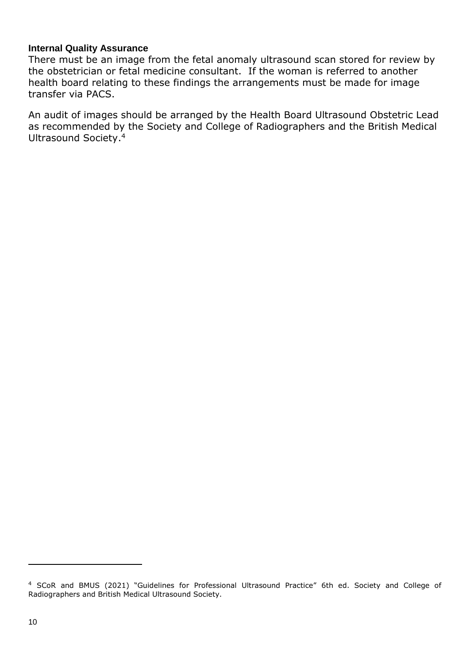#### **Internal Quality Assurance**

There must be an image from the fetal anomaly ultrasound scan stored for review by the obstetrician or fetal medicine consultant. If the woman is referred to another health board relating to these findings the arrangements must be made for image transfer via PACS.

An audit of images should be arranged by the Health Board Ultrasound Obstetric Lead as recommended by the Society and College of Radiographers and the British Medical Ultrasound Society. 4

<sup>4</sup> SCoR and BMUS (2021) "Guidelines for Professional Ultrasound Practice" 6th ed. Society and College of Radiographers and British Medical Ultrasound Society.